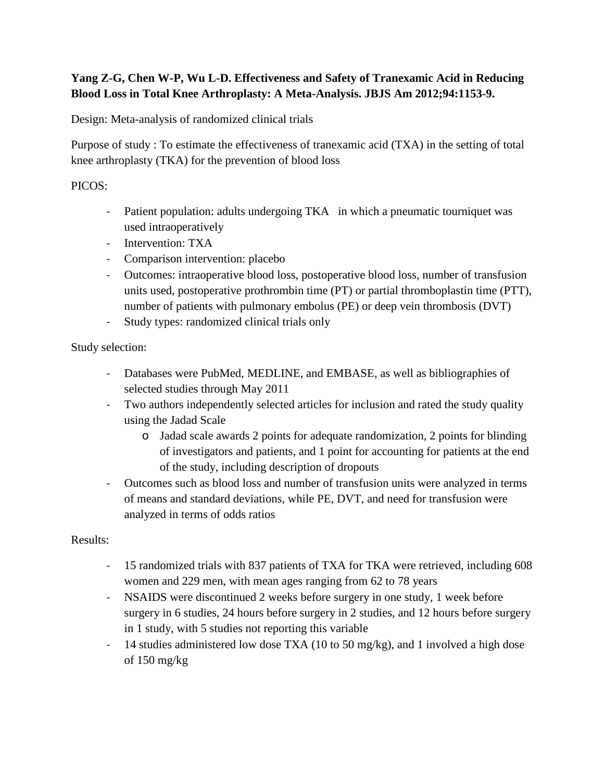## **Yang Z-G, Chen W-P, Wu L-D. Effectiveness and Safety of Tranexamic Acid in Reducing Blood Loss in Total Knee Arthroplasty: A Meta-Analysis. JBJS Am 2012;94:1153-9.**

Design: Meta-analysis of randomized clinical trials

Purpose of study : To estimate the effectiveness of tranexamic acid (TXA) in the setting of total knee arthroplasty (TKA) for the prevention of blood loss

## PICOS:

- Patient population: adults undergoing TKA in which a pneumatic tourniquet was used intraoperatively
- Intervention: TXA
- Comparison intervention: placebo
- Outcomes: intraoperative blood loss, postoperative blood loss, number of transfusion units used, postoperative prothrombin time (PT) or partial thromboplastin time (PTT), number of patients with pulmonary embolus (PE) or deep vein thrombosis (DVT)
- Study types: randomized clinical trials only

Study selection:

- Databases were PubMed, MEDLINE, and EMBASE, as well as bibliographies of selected studies through May 2011
- Two authors independently selected articles for inclusion and rated the study quality using the Jadad Scale
	- o Jadad scale awards 2 points for adequate randomization, 2 points for blinding of investigators and patients, and 1 point for accounting for patients at the end of the study, including description of dropouts
- Outcomes such as blood loss and number of transfusion units were analyzed in terms of means and standard deviations, while PE, DVT, and need for transfusion were analyzed in terms of odds ratios

Results:

- 15 randomized trials with 837 patients of TXA for TKA were retrieved, including 608 women and 229 men, with mean ages ranging from 62 to 78 years
- NSAIDS were discontinued 2 weeks before surgery in one study, 1 week before surgery in 6 studies, 24 hours before surgery in 2 studies, and 12 hours before surgery in 1 study, with 5 studies not reporting this variable
- 14 studies administered low dose TXA (10 to 50 mg/kg), and 1 involved a high dose of 150 mg/kg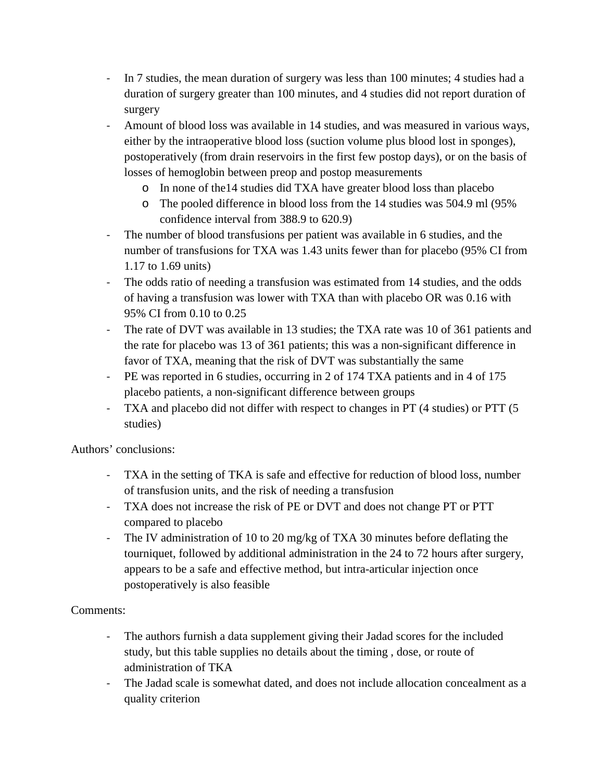- In 7 studies, the mean duration of surgery was less than 100 minutes; 4 studies had a duration of surgery greater than 100 minutes, and 4 studies did not report duration of surgery
- Amount of blood loss was available in 14 studies, and was measured in various ways, either by the intraoperative blood loss (suction volume plus blood lost in sponges), postoperatively (from drain reservoirs in the first few postop days), or on the basis of losses of hemoglobin between preop and postop measurements
	- o In none of the14 studies did TXA have greater blood loss than placebo
	- o The pooled difference in blood loss from the 14 studies was 504.9 ml (95% confidence interval from 388.9 to 620.9)
- The number of blood transfusions per patient was available in 6 studies, and the number of transfusions for TXA was 1.43 units fewer than for placebo (95% CI from 1.17 to 1.69 units)
- The odds ratio of needing a transfusion was estimated from 14 studies, and the odds of having a transfusion was lower with TXA than with placebo OR was 0.16 with 95% CI from 0.10 to 0.25
- The rate of DVT was available in 13 studies; the TXA rate was 10 of 361 patients and the rate for placebo was 13 of 361 patients; this was a non-significant difference in favor of TXA, meaning that the risk of DVT was substantially the same
- PE was reported in 6 studies, occurring in 2 of 174 TXA patients and in 4 of 175 placebo patients, a non-significant difference between groups
- TXA and placebo did not differ with respect to changes in PT (4 studies) or PTT (5 studies)

Authors' conclusions:

- TXA in the setting of TKA is safe and effective for reduction of blood loss, number of transfusion units, and the risk of needing a transfusion
- TXA does not increase the risk of PE or DVT and does not change PT or PTT compared to placebo
- The IV administration of 10 to 20 mg/kg of TXA 30 minutes before deflating the tourniquet, followed by additional administration in the 24 to 72 hours after surgery, appears to be a safe and effective method, but intra-articular injection once postoperatively is also feasible

## Comments:

- The authors furnish a data supplement giving their Jadad scores for the included study, but this table supplies no details about the timing , dose, or route of administration of TKA
- The Jadad scale is somewhat dated, and does not include allocation concealment as a quality criterion